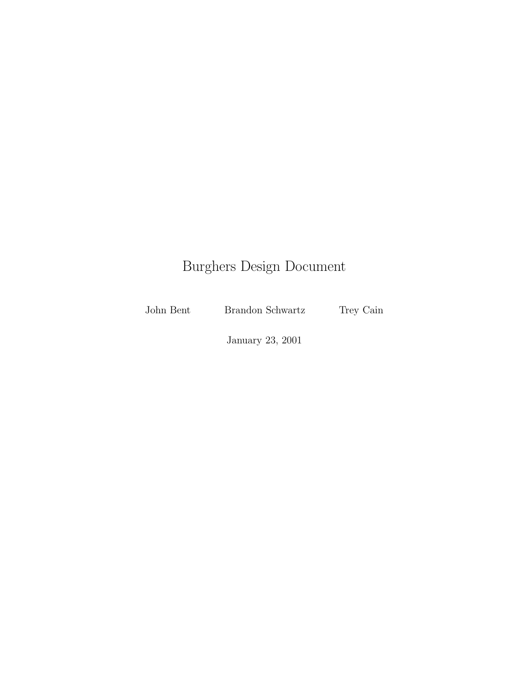# Burghers Design Document

John Bent Brandon Schwartz Trey Cain

January 23, 2001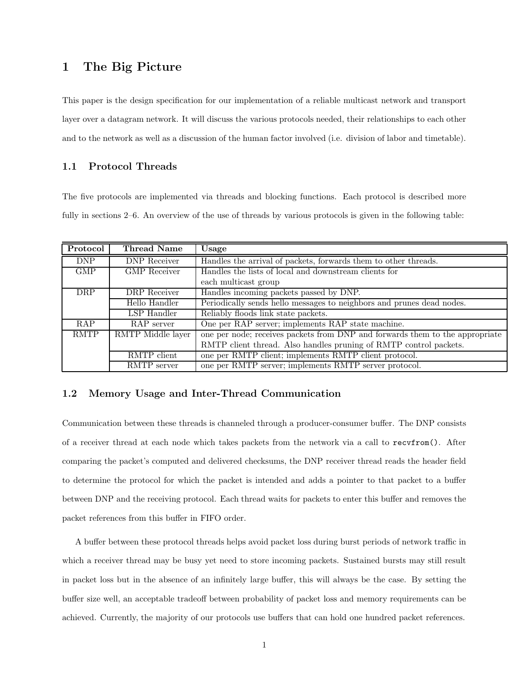# 1 The Big Picture

This paper is the design specification for our implementation of a reliable multicast network and transport layer over a datagram network. It will discuss the various protocols needed, their relationships to each other and to the network as well as a discussion of the human factor involved (i.e. division of labor and timetable).

### 1.1 Protocol Threads

The five protocols are implemented via threads and blocking functions. Each protocol is described more fully in sections 2–6. An overview of the use of threads by various protocols is given in the following table:

| Protocol    | Thread Name         | Usage                                                                        |
|-------------|---------------------|------------------------------------------------------------------------------|
| <b>DNP</b>  | DNP Receiver        | Handles the arrival of packets, forwards them to other threads.              |
| <b>GMP</b>  | <b>GMP</b> Receiver | Handles the lists of local and downstream clients for                        |
|             |                     | each multicast group                                                         |
| <b>DRP</b>  | DRP Receiver        | Handles incoming packets passed by DNP.                                      |
|             | Hello Handler       | Periodically sends hello messages to neighbors and prunes dead nodes.        |
|             | LSP Handler         | Reliably floods link state packets.                                          |
| <b>RAP</b>  | RAP server          | One per RAP server; implements RAP state machine.                            |
| <b>RMTP</b> | RMTP Middle layer   | one per node; receives packets from DNP and forwards them to the appropriate |
|             |                     | RMTP client thread. Also handles pruning of RMTP control packets.            |
|             | RMTP client         | one per RMTP client; implements RMTP client protocol.                        |
|             | RMTP server         | one per RMTP server; implements RMTP server protocol.                        |

## 1.2 Memory Usage and Inter-Thread Communication

Communication between these threads is channeled through a producer-consumer buffer. The DNP consists of a receiver thread at each node which takes packets from the network via a call to recvfrom(). After comparing the packet's computed and delivered checksums, the DNP receiver thread reads the header field to determine the protocol for which the packet is intended and adds a pointer to that packet to a buffer between DNP and the receiving protocol. Each thread waits for packets to enter this buffer and removes the packet references from this buffer in FIFO order.

A buffer between these protocol threads helps avoid packet loss during burst periods of network traffic in which a receiver thread may be busy yet need to store incoming packets. Sustained bursts may still result in packet loss but in the absence of an infinitely large buffer, this will always be the case. By setting the buffer size well, an acceptable tradeoff between probability of packet loss and memory requirements can be achieved. Currently, the majority of our protocols use buffers that can hold one hundred packet references.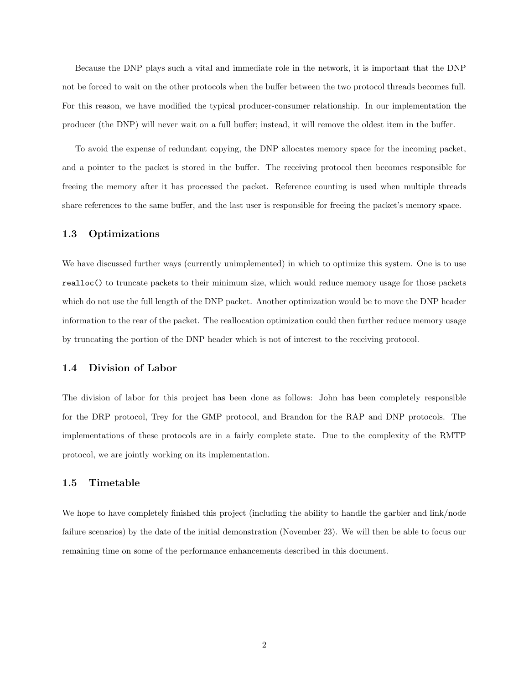Because the DNP plays such a vital and immediate role in the network, it is important that the DNP not be forced to wait on the other protocols when the buffer between the two protocol threads becomes full. For this reason, we have modified the typical producer-consumer relationship. In our implementation the producer (the DNP) will never wait on a full buffer; instead, it will remove the oldest item in the buffer.

To avoid the expense of redundant copying, the DNP allocates memory space for the incoming packet, and a pointer to the packet is stored in the buffer. The receiving protocol then becomes responsible for freeing the memory after it has processed the packet. Reference counting is used when multiple threads share references to the same buffer, and the last user is responsible for freeing the packet's memory space.

#### 1.3 Optimizations

We have discussed further ways (currently unimplemented) in which to optimize this system. One is to use realloc() to truncate packets to their minimum size, which would reduce memory usage for those packets which do not use the full length of the DNP packet. Another optimization would be to move the DNP header information to the rear of the packet. The reallocation optimization could then further reduce memory usage by truncating the portion of the DNP header which is not of interest to the receiving protocol.

#### 1.4 Division of Labor

The division of labor for this project has been done as follows: John has been completely responsible for the DRP protocol, Trey for the GMP protocol, and Brandon for the RAP and DNP protocols. The implementations of these protocols are in a fairly complete state. Due to the complexity of the RMTP protocol, we are jointly working on its implementation.

#### 1.5 Timetable

We hope to have completely finished this project (including the ability to handle the garbler and link/node failure scenarios) by the date of the initial demonstration (November 23). We will then be able to focus our remaining time on some of the performance enhancements described in this document.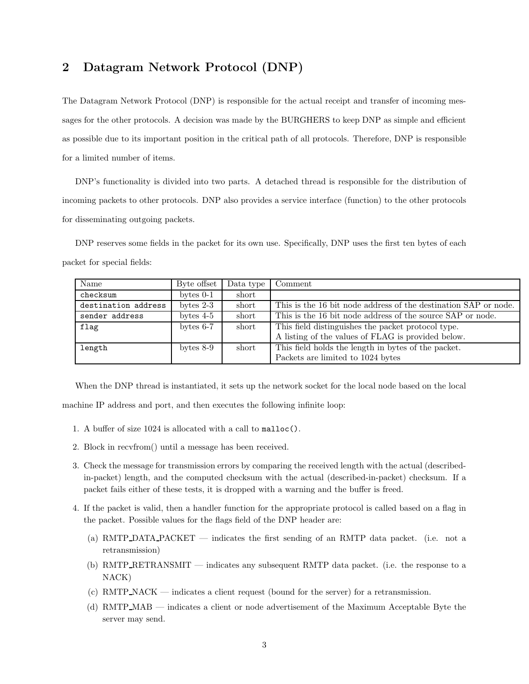# 2 Datagram Network Protocol (DNP)

The Datagram Network Protocol (DNP) is responsible for the actual receipt and transfer of incoming messages for the other protocols. A decision was made by the BURGHERS to keep DNP as simple and efficient as possible due to its important position in the critical path of all protocols. Therefore, DNP is responsible for a limited number of items.

DNP's functionality is divided into two parts. A detached thread is responsible for the distribution of incoming packets to other protocols. DNP also provides a service interface (function) to the other protocols for disseminating outgoing packets.

DNP reserves some fields in the packet for its own use. Specifically, DNP uses the first ten bytes of each packet for special fields:

| Name                | Byte offset | Data type | Comment                                                         |
|---------------------|-------------|-----------|-----------------------------------------------------------------|
| checksum            | bytes $0-1$ | short     |                                                                 |
| destination address | bytes $2-3$ | short     | This is the 16 bit node address of the destination SAP or node. |
| sender address      | bytes $4-5$ | short     | This is the 16 bit node address of the source SAP or node.      |
| flag                | bytes $6-7$ | short     | This field distinguishes the packet protocol type.              |
|                     |             |           | A listing of the values of FLAG is provided below.              |
| length              | bytes $8-9$ | short     | This field holds the length in bytes of the packet.             |
|                     |             |           | Packets are limited to 1024 bytes                               |

When the DNP thread is instantiated, it sets up the network socket for the local node based on the local machine IP address and port, and then executes the following infinite loop:

- 1. A buffer of size 1024 is allocated with a call to malloc().
- 2. Block in recvfrom() until a message has been received.
- 3. Check the message for transmission errors by comparing the received length with the actual (describedin-packet) length, and the computed checksum with the actual (described-in-packet) checksum. If a packet fails either of these tests, it is dropped with a warning and the buffer is freed.
- 4. If the packet is valid, then a handler function for the appropriate protocol is called based on a flag in the packet. Possible values for the flags field of the DNP header are:
	- (a) RMTP DATA PACKET indicates the first sending of an RMTP data packet. (i.e. not a retransmission)
	- (b) RMTP RETRANSMIT indicates any subsequent RMTP data packet. (i.e. the response to a NACK)
	- (c) RMTP NACK indicates a client request (bound for the server) for a retransmission.
	- (d) RMTP MAB indicates a client or node advertisement of the Maximum Acceptable Byte the server may send.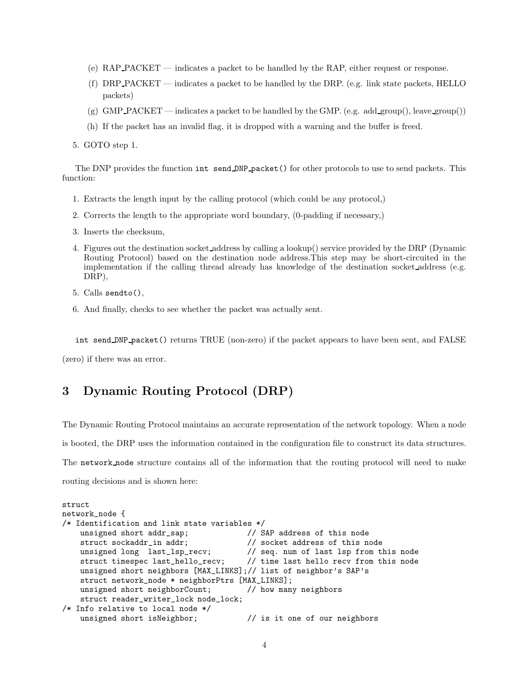- (e) RAP PACKET indicates a packet to be handled by the RAP, either request or response.
- (f) DRP PACKET indicates a packet to be handled by the DRP. (e.g. link state packets, HELLO packets)
- (g) GMP PACKET indicates a packet to be handled by the GMP. (e.g. add group(), leave group())
- (h) If the packet has an invalid flag, it is dropped with a warning and the buffer is freed.
- 5. GOTO step 1.

The DNP provides the function int send DNP packet() for other protocols to use to send packets. This function:

- 1. Extracts the length input by the calling protocol (which could be any protocol,)
- 2. Corrects the length to the appropriate word boundary, (0-padding if necessary,)
- 3. Inserts the checksum,
- 4. Figures out the destination socket address by calling a lookup() service provided by the DRP (Dynamic Routing Protocol) based on the destination node address.This step may be short-circuited in the implementation if the calling thread already has knowledge of the destination socket address (e.g. DRP),
- 5. Calls sendto(),
- 6. And finally, checks to see whether the packet was actually sent.

int send DNP packet() returns TRUE (non-zero) if the packet appears to have been sent, and FALSE

(zero) if there was an error.

# 3 Dynamic Routing Protocol (DRP)

The Dynamic Routing Protocol maintains an accurate representation of the network topology. When a node is booted, the DRP uses the information contained in the configuration file to construct its data structures. The network node structure contains all of the information that the routing protocol will need to make routing decisions and is shown here:

```
struct
network_node {
/* Identification and link state variables */
   unsigned short addr_sap; // SAP address of this node
   struct sockaddr_in addr; // socket address of this node
   unsigned long last_lsp_recv; // seq. num of last lsp from this node
   struct timespec last_hello_recv; // time last hello recv from this node
   unsigned short neighbors [MAX_LINKS];// list of neighbor's SAP's
   struct network_node * neighborPtrs [MAX_LINKS];
   unsigned short neighborCount; // how many neighbors
   struct reader_writer_lock node_lock;
/* Info relative to local node */
   unsigned short isNeighbor; \frac{1}{1} is it one of our neighbors
```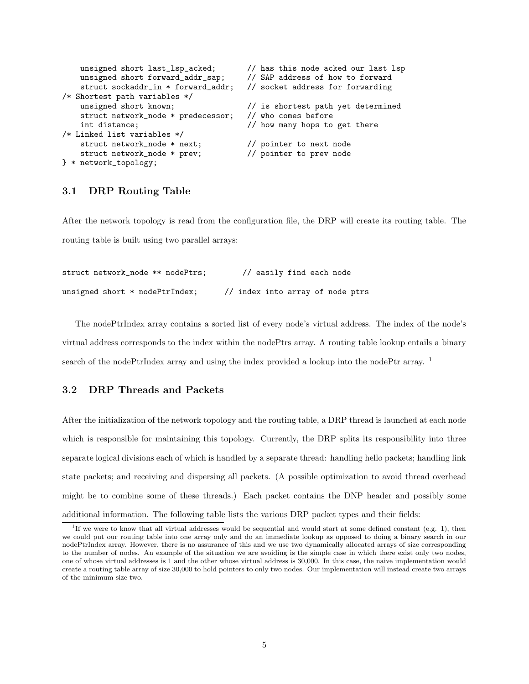```
unsigned short last_lsp_acked; // has this node acked our last lsp
   unsigned short forward addr sap: // SAP address of how to forward
   struct sockaddr_in * forward_addr; // socket address for forwarding
/* Shortest path variables */
   unsigned short known; // is shortest path yet determined
   struct network_node * predecessor; // who comes before
   int distance; \frac{1}{\sqrt{N}} how many hops to get there
/* Linked list variables */
   struct network_node * next; // pointer to next node
   struct network_node * prev; // pointer to prev node
} * network_topology;
```
## 3.1 DRP Routing Table

After the network topology is read from the configuration file, the DRP will create its routing table. The routing table is built using two parallel arrays:

| struct network_node ** nodePtrs;     | // easily find each node         |
|--------------------------------------|----------------------------------|
| unsigned short $*$ node $PtrIndex$ ; | // index into array of node ptrs |

The nodePtrIndex array contains a sorted list of every node's virtual address. The index of the node's virtual address corresponds to the index within the nodePtrs array. A routing table lookup entails a binary search of the nodePtrIndex array and using the index provided a lookup into the nodePtr array.<sup>1</sup>

## 3.2 DRP Threads and Packets

After the initialization of the network topology and the routing table, a DRP thread is launched at each node which is responsible for maintaining this topology. Currently, the DRP splits its responsibility into three separate logical divisions each of which is handled by a separate thread: handling hello packets; handling link state packets; and receiving and dispersing all packets. (A possible optimization to avoid thread overhead might be to combine some of these threads.) Each packet contains the DNP header and possibly some additional information. The following table lists the various DRP packet types and their fields:

<sup>&</sup>lt;sup>1</sup>If we were to know that all virtual addresses would be sequential and would start at some defined constant (e.g. 1), then we could put our routing table into one array only and do an immediate lookup as opposed to doing a binary search in our nodePtrIndex array. However, there is no assurance of this and we use two dynamically allocated arrays of size corresponding to the number of nodes. An example of the situation we are avoiding is the simple case in which there exist only two nodes, one of whose virtual addresses is 1 and the other whose virtual address is 30,000. In this case, the naive implementation would create a routing table array of size 30,000 to hold pointers to only two nodes. Our implementation will instead create two arrays of the minimum size two.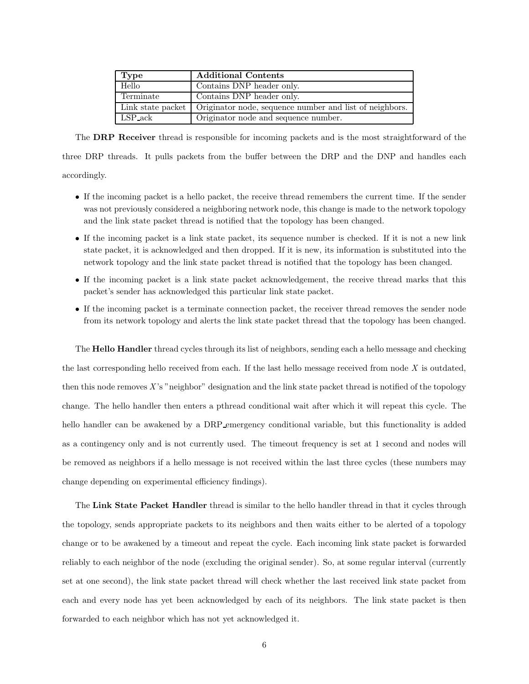| <b>Type</b> | <b>Additional Contents</b>                                                  |
|-------------|-----------------------------------------------------------------------------|
| Hello       | Contains DNP header only.                                                   |
| Terminate   | Contains DNP header only.                                                   |
|             | Link state packet   Originator node, sequence number and list of neighbors. |
| LSP_ack     | Originator node and sequence number.                                        |

The DRP Receiver thread is responsible for incoming packets and is the most straightforward of the three DRP threads. It pulls packets from the buffer between the DRP and the DNP and handles each accordingly.

- If the incoming packet is a hello packet, the receive thread remembers the current time. If the sender was not previously considered a neighboring network node, this change is made to the network topology and the link state packet thread is notified that the topology has been changed.
- If the incoming packet is a link state packet, its sequence number is checked. If it is not a new link state packet, it is acknowledged and then dropped. If it is new, its information is substituted into the network topology and the link state packet thread is notified that the topology has been changed.
- If the incoming packet is a link state packet acknowledgement, the receive thread marks that this packet's sender has acknowledged this particular link state packet.
- If the incoming packet is a terminate connection packet, the receiver thread removes the sender node from its network topology and alerts the link state packet thread that the topology has been changed.

The Hello Handler thread cycles through its list of neighbors, sending each a hello message and checking the last corresponding hello received from each. If the last hello message received from node  $X$  is outdated, then this node removes X's "neighbor" designation and the link state packet thread is notified of the topology change. The hello handler then enters a pthread conditional wait after which it will repeat this cycle. The hello handler can be awakened by a DRP emergency conditional variable, but this functionality is added as a contingency only and is not currently used. The timeout frequency is set at 1 second and nodes will be removed as neighbors if a hello message is not received within the last three cycles (these numbers may change depending on experimental efficiency findings).

The Link State Packet Handler thread is similar to the hello handler thread in that it cycles through the topology, sends appropriate packets to its neighbors and then waits either to be alerted of a topology change or to be awakened by a timeout and repeat the cycle. Each incoming link state packet is forwarded reliably to each neighbor of the node (excluding the original sender). So, at some regular interval (currently set at one second), the link state packet thread will check whether the last received link state packet from each and every node has yet been acknowledged by each of its neighbors. The link state packet is then forwarded to each neighbor which has not yet acknowledged it.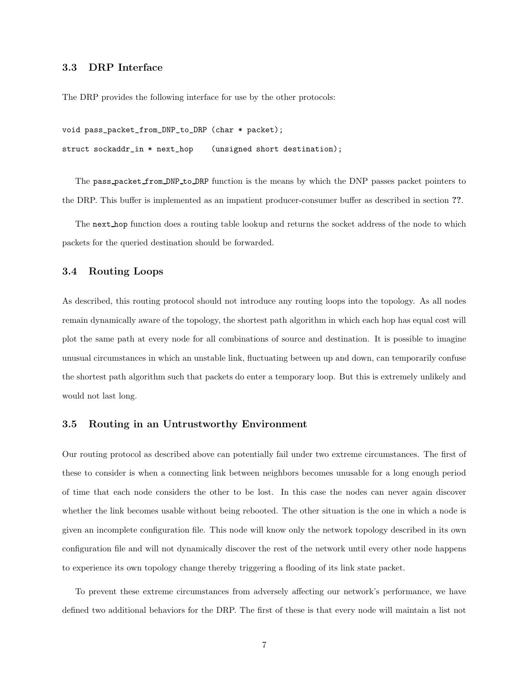### 3.3 DRP Interface

The DRP provides the following interface for use by the other protocols:

```
void pass_packet_from_DNP_to_DRP (char * packet);
struct sockaddr_in * next_hop (unsigned short destination);
```
The pass packet from DNP to DRP function is the means by which the DNP passes packet pointers to the DRP. This buffer is implemented as an impatient producer-consumer buffer as described in section ??.

The next hop function does a routing table lookup and returns the socket address of the node to which packets for the queried destination should be forwarded.

#### 3.4 Routing Loops

As described, this routing protocol should not introduce any routing loops into the topology. As all nodes remain dynamically aware of the topology, the shortest path algorithm in which each hop has equal cost will plot the same path at every node for all combinations of source and destination. It is possible to imagine unusual circumstances in which an unstable link, fluctuating between up and down, can temporarily confuse the shortest path algorithm such that packets do enter a temporary loop. But this is extremely unlikely and would not last long.

#### 3.5 Routing in an Untrustworthy Environment

Our routing protocol as described above can potentially fail under two extreme circumstances. The first of these to consider is when a connecting link between neighbors becomes unusable for a long enough period of time that each node considers the other to be lost. In this case the nodes can never again discover whether the link becomes usable without being rebooted. The other situation is the one in which a node is given an incomplete configuration file. This node will know only the network topology described in its own configuration file and will not dynamically discover the rest of the network until every other node happens to experience its own topology change thereby triggering a flooding of its link state packet.

To prevent these extreme circumstances from adversely affecting our network's performance, we have defined two additional behaviors for the DRP. The first of these is that every node will maintain a list not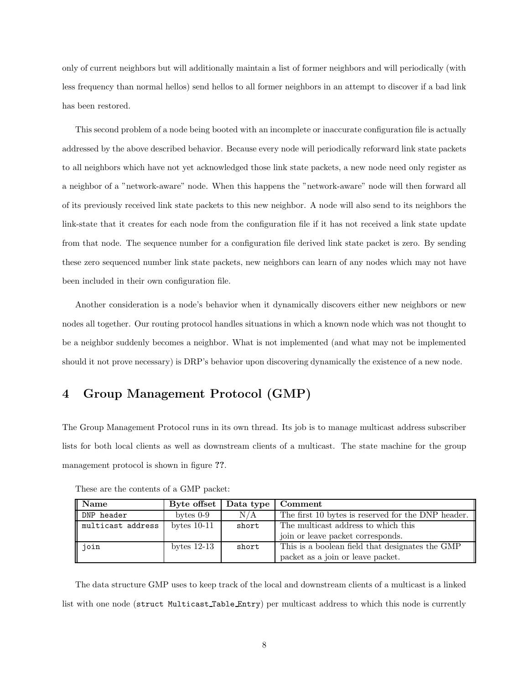only of current neighbors but will additionally maintain a list of former neighbors and will periodically (with less frequency than normal hellos) send hellos to all former neighbors in an attempt to discover if a bad link has been restored.

This second problem of a node being booted with an incomplete or inaccurate configuration file is actually addressed by the above described behavior. Because every node will periodically reforward link state packets to all neighbors which have not yet acknowledged those link state packets, a new node need only register as a neighbor of a "network-aware" node. When this happens the "network-aware" node will then forward all of its previously received link state packets to this new neighbor. A node will also send to its neighbors the link-state that it creates for each node from the configuration file if it has not received a link state update from that node. The sequence number for a configuration file derived link state packet is zero. By sending these zero sequenced number link state packets, new neighbors can learn of any nodes which may not have been included in their own configuration file.

Another consideration is a node's behavior when it dynamically discovers either new neighbors or new nodes all together. Our routing protocol handles situations in which a known node which was not thought to be a neighbor suddenly becomes a neighbor. What is not implemented (and what may not be implemented should it not prove necessary) is DRP's behavior upon discovering dynamically the existence of a new node.

# 4 Group Management Protocol (GMP)

The Group Management Protocol runs in its own thread. Its job is to manage multicast address subscriber lists for both local clients as well as downstream clients of a multicast. The state machine for the group management protocol is shown in figure ??.

| Name              | Byte offset   Data type   Comment |       |                                                    |
|-------------------|-----------------------------------|-------|----------------------------------------------------|
| DNP header        | bytes $0-9$                       | N/A   | The first 10 bytes is reserved for the DNP header. |
| multicast address | bytes $10-11$                     | short | The multicast address to which this                |
|                   |                                   |       | join or leave packet corresponds.                  |
| join              | bytes $12-13$                     | short | This is a boolean field that designates the GMP    |
|                   |                                   |       | packet as a join or leave packet.                  |

These are the contents of a GMP packet:

The data structure GMP uses to keep track of the local and downstream clients of a multicast is a linked list with one node (struct Multicast Table Entry) per multicast address to which this node is currently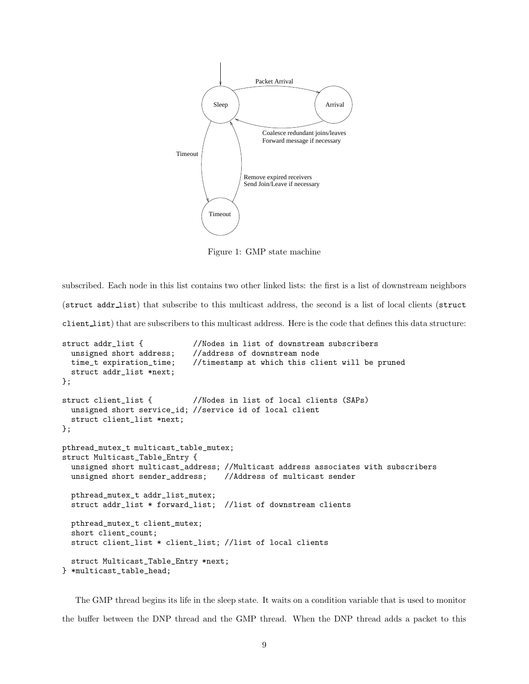

Figure 1: GMP state machine

subscribed. Each node in this list contains two other linked lists: the first is a list of downstream neighbors (struct addr list) that subscribe to this multicast address, the second is a list of local clients (struct client list) that are subscribers to this multicast address. Here is the code that defines this data structure:

```
struct addr_list { //Nodes in list of downstream subscribers
 unsigned short address; //address of downstream node
 time_t expiration_time; //timestamp at which this client will be pruned
 struct addr_list *next;
};
struct client_list { //Nodes in list of local clients (SAPs)
 unsigned short service_id; //service id of local client
 struct client_list *next;
};
pthread_mutex_t multicast_table_mutex;
struct Multicast_Table_Entry {
 unsigned short multicast_address; //Multicast address associates with subscribers
 unsigned short sender_address; //Address of multicast sender
 pthread_mutex_t addr_list_mutex;
 struct addr_list * forward_list; //list of downstream clients
 pthread_mutex_t client_mutex;
 short client_count;
 struct client_list * client_list; //list of local clients
 struct Multicast_Table_Entry *next;
} *multicast_table_head;
```
The GMP thread begins its life in the sleep state. It waits on a condition variable that is used to monitor the buffer between the DNP thread and the GMP thread. When the DNP thread adds a packet to this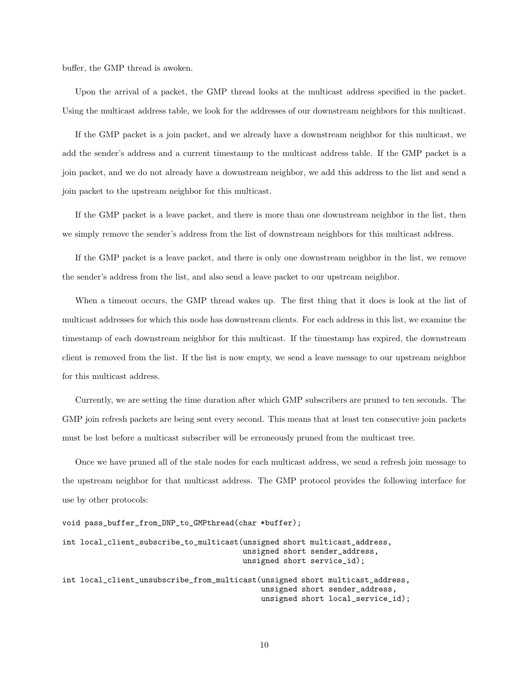buffer, the GMP thread is awoken.

Upon the arrival of a packet, the GMP thread looks at the multicast address specified in the packet. Using the multicast address table, we look for the addresses of our downstream neighbors for this multicast.

If the GMP packet is a join packet, and we already have a downstream neighbor for this multicast, we add the sender's address and a current timestamp to the multicast address table. If the GMP packet is a join packet, and we do not already have a downstream neighbor, we add this address to the list and send a join packet to the upstream neighbor for this multicast.

If the GMP packet is a leave packet, and there is more than one downstream neighbor in the list, then we simply remove the sender's address from the list of downstream neighbors for this multicast address.

If the GMP packet is a leave packet, and there is only one downstream neighbor in the list, we remove the sender's address from the list, and also send a leave packet to our upstream neighbor.

When a timeout occurs, the GMP thread wakes up. The first thing that it does is look at the list of multicast addresses for which this node has downstream clients. For each address in this list, we examine the timestamp of each downstream neighbor for this multicast. If the timestamp has expired, the downstream client is removed from the list. If the list is now empty, we send a leave message to our upstream neighbor for this multicast address.

Currently, we are setting the time duration after which GMP subscribers are pruned to ten seconds. The GMP join refresh packets are being sent every second. This means that at least ten consecutive join packets must be lost before a multicast subscriber will be erroneously pruned from the multicast tree.

Once we have pruned all of the stale nodes for each multicast address, we send a refresh join message to the upstream neighbor for that multicast address. The GMP protocol provides the following interface for use by other protocols:

```
void pass_buffer_from_DNP_to_GMPthread(char *buffer);
```

```
int local_client_subscribe_to_multicast(unsigned short multicast_address,
                                        unsigned short sender_address,
                                        unsigned short service_id);
int local_client_unsubscribe_from_multicast(unsigned short multicast_address,
                                            unsigned short sender_address,
                                            unsigned short local_service_id);
```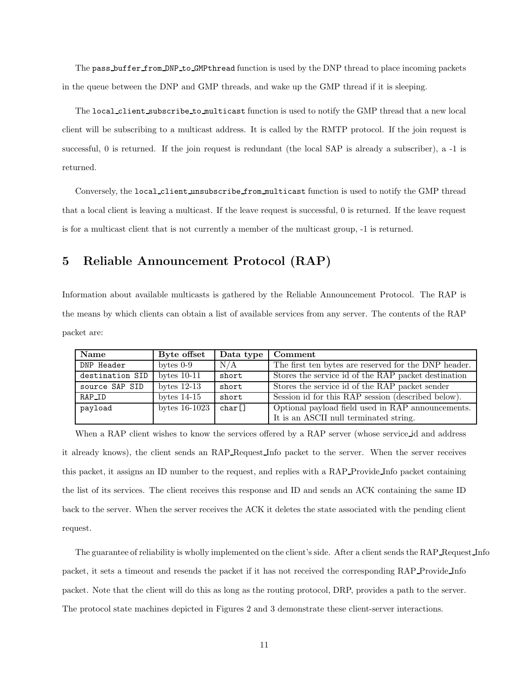The pass buffer from DNP to GMP thread function is used by the DNP thread to place incoming packets in the queue between the DNP and GMP threads, and wake up the GMP thread if it is sleeping.

The local client subscribe to multicast function is used to notify the GMP thread that a new local client will be subscribing to a multicast address. It is called by the RMTP protocol. If the join request is successful, 0 is returned. If the join request is redundant (the local SAP is already a subscriber), a -1 is returned.

Conversely, the local client unsubscribe from multicast function is used to notify the GMP thread that a local client is leaving a multicast. If the leave request is successful, 0 is returned. If the leave request is for a multicast client that is not currently a member of the multicast group, -1 is returned.

# 5 Reliable Announcement Protocol (RAP)

Information about available multicasts is gathered by the Reliable Announcement Protocol. The RAP is the means by which clients can obtain a list of available services from any server. The contents of the RAP packet are:

| Name            | Byte offset     | Data type | Comment                                              |
|-----------------|-----------------|-----------|------------------------------------------------------|
| DNP Header      | bytes $0-9$     | N/A       | The first ten bytes are reserved for the DNP header. |
| destination SID | bytes $10-11$   | short     | Stores the service id of the RAP packet destination  |
| source SAP SID  | bytes $12-13$   | short     | Stores the service id of the RAP packet sender       |
| RAP_ID          | bytes $14-15$   | short     | Session id for this RAP session (described below).   |
| payload         | bytes $16-1023$ | char[]    | Optional payload field used in RAP announcements.    |
|                 |                 |           | It is an ASCII null terminated string.               |

When a RAP client wishes to know the services offered by a RAP server (whose service id and address it already knows), the client sends an RAP Request Info packet to the server. When the server receives this packet, it assigns an ID number to the request, and replies with a RAP Provide Info packet containing the list of its services. The client receives this response and ID and sends an ACK containing the same ID back to the server. When the server receives the ACK it deletes the state associated with the pending client request.

The guarantee of reliability is wholly implemented on the client's side. After a client sends the RAP Request Info packet, it sets a timeout and resends the packet if it has not received the corresponding RAP Provide Info packet. Note that the client will do this as long as the routing protocol, DRP, provides a path to the server. The protocol state machines depicted in Figures 2 and 3 demonstrate these client-server interactions.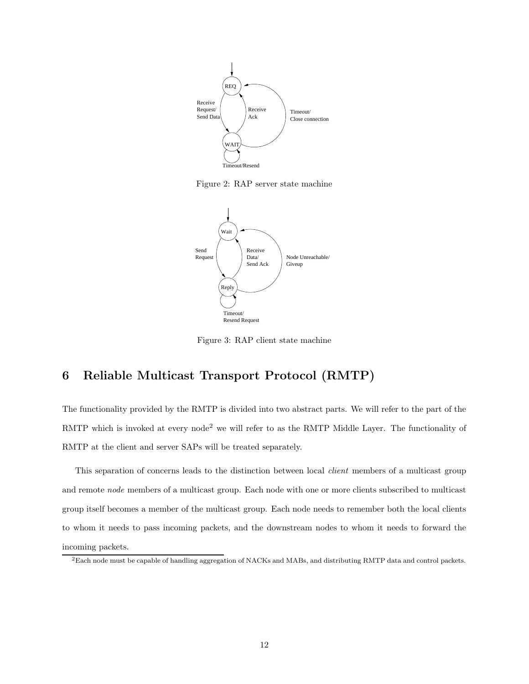

Figure 2: RAP server state machine



Figure 3: RAP client state machine

# 6 Reliable Multicast Transport Protocol (RMTP)

The functionality provided by the RMTP is divided into two abstract parts. We will refer to the part of the RMTP which is invoked at every node<sup>2</sup> we will refer to as the RMTP Middle Layer. The functionality of RMTP at the client and server SAPs will be treated separately.

This separation of concerns leads to the distinction between local *client* members of a multicast group and remote node members of a multicast group. Each node with one or more clients subscribed to multicast group itself becomes a member of the multicast group. Each node needs to remember both the local clients to whom it needs to pass incoming packets, and the downstream nodes to whom it needs to forward the incoming packets.

 ${}^{2}$ Each node must be capable of handling aggregation of NACKs and MABs, and distributing RMTP data and control packets.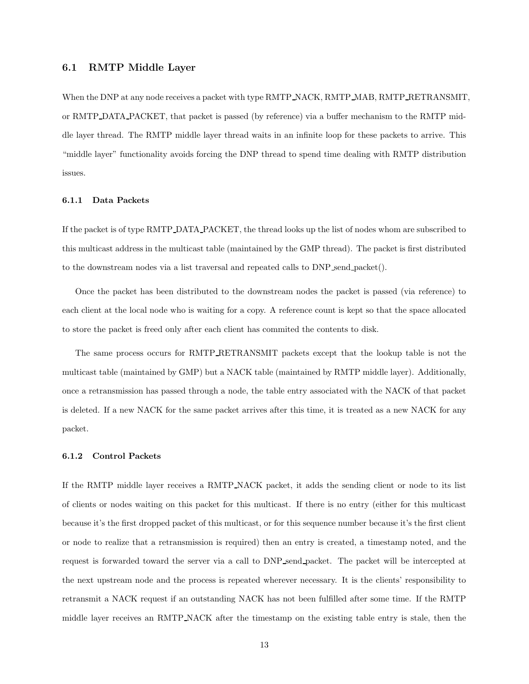## 6.1 RMTP Middle Layer

When the DNP at any node receives a packet with type RMTP NACK, RMTP MAB, RMTP RETRANSMIT, or RMTP DATA PACKET, that packet is passed (by reference) via a buffer mechanism to the RMTP middle layer thread. The RMTP middle layer thread waits in an infinite loop for these packets to arrive. This "middle layer" functionality avoids forcing the DNP thread to spend time dealing with RMTP distribution issues.

#### 6.1.1 Data Packets

If the packet is of type RMTP DATA PACKET, the thread looks up the list of nodes whom are subscribed to this multicast address in the multicast table (maintained by the GMP thread). The packet is first distributed to the downstream nodes via a list traversal and repeated calls to DNP send packet().

Once the packet has been distributed to the downstream nodes the packet is passed (via reference) to each client at the local node who is waiting for a copy. A reference count is kept so that the space allocated to store the packet is freed only after each client has commited the contents to disk.

The same process occurs for RMTP RETRANSMIT packets except that the lookup table is not the multicast table (maintained by GMP) but a NACK table (maintained by RMTP middle layer). Additionally, once a retransmission has passed through a node, the table entry associated with the NACK of that packet is deleted. If a new NACK for the same packet arrives after this time, it is treated as a new NACK for any packet.

#### 6.1.2 Control Packets

If the RMTP middle layer receives a RMTP NACK packet, it adds the sending client or node to its list of clients or nodes waiting on this packet for this multicast. If there is no entry (either for this multicast because it's the first dropped packet of this multicast, or for this sequence number because it's the first client or node to realize that a retransmission is required) then an entry is created, a timestamp noted, and the request is forwarded toward the server via a call to DNP send packet. The packet will be intercepted at the next upstream node and the process is repeated wherever necessary. It is the clients' responsibility to retransmit a NACK request if an outstanding NACK has not been fulfilled after some time. If the RMTP middle layer receives an RMTP NACK after the timestamp on the existing table entry is stale, then the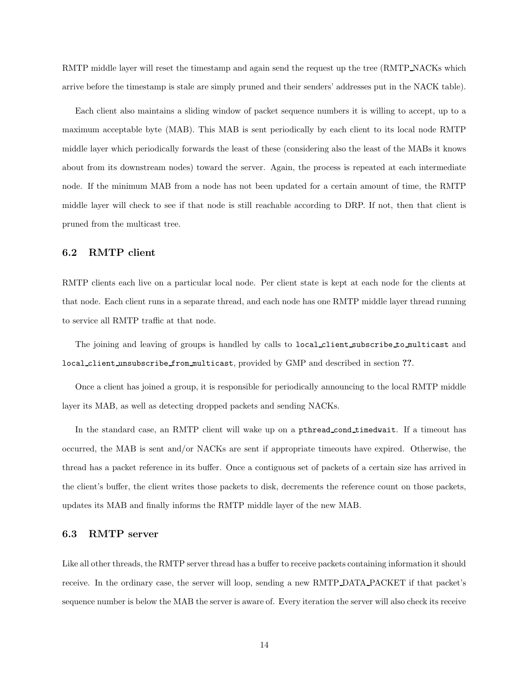RMTP middle layer will reset the timestamp and again send the request up the tree (RMTP NACKs which arrive before the timestamp is stale are simply pruned and their senders' addresses put in the NACK table).

Each client also maintains a sliding window of packet sequence numbers it is willing to accept, up to a maximum acceptable byte (MAB). This MAB is sent periodically by each client to its local node RMTP middle layer which periodically forwards the least of these (considering also the least of the MABs it knows about from its downstream nodes) toward the server. Again, the process is repeated at each intermediate node. If the minimum MAB from a node has not been updated for a certain amount of time, the RMTP middle layer will check to see if that node is still reachable according to DRP. If not, then that client is pruned from the multicast tree.

## 6.2 RMTP client

RMTP clients each live on a particular local node. Per client state is kept at each node for the clients at that node. Each client runs in a separate thread, and each node has one RMTP middle layer thread running to service all RMTP traffic at that node.

The joining and leaving of groups is handled by calls to local client subscribe to multicast and local client unsubscribe from multicast, provided by GMP and described in section ??.

Once a client has joined a group, it is responsible for periodically announcing to the local RMTP middle layer its MAB, as well as detecting dropped packets and sending NACKs.

In the standard case, an RMTP client will wake up on a pthread cond timedwait. If a timeout has occurred, the MAB is sent and/or NACKs are sent if appropriate timeouts have expired. Otherwise, the thread has a packet reference in its buffer. Once a contiguous set of packets of a certain size has arrived in the client's buffer, the client writes those packets to disk, decrements the reference count on those packets, updates its MAB and finally informs the RMTP middle layer of the new MAB.

## 6.3 RMTP server

Like all other threads, the RMTP server thread has a buffer to receive packets containing information it should receive. In the ordinary case, the server will loop, sending a new RMTP DATA PACKET if that packet's sequence number is below the MAB the server is aware of. Every iteration the server will also check its receive